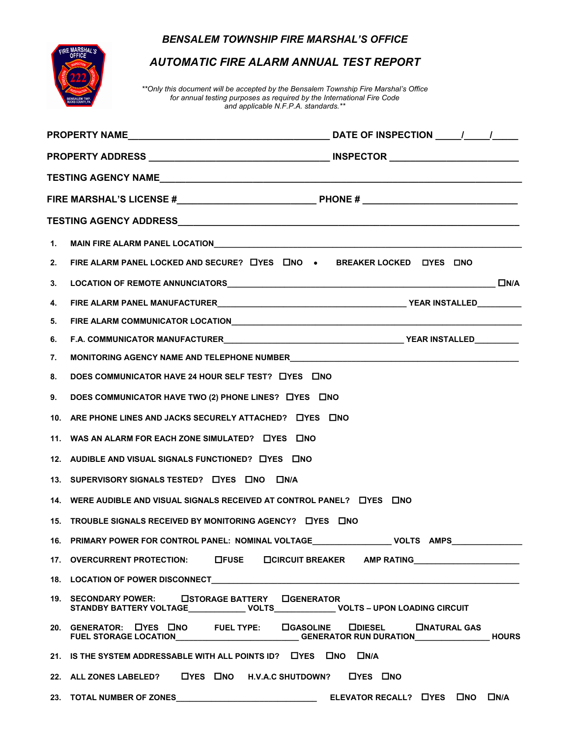## *BENSALEM TOWNSHIP FIRE MARSHAL'S OFFICE*



## *AUTOMATIC FIRE ALARM ANNUAL TEST REPORT*

*\*\*Only this document will be accepted by the Bensalem Township Fire Marshal's Office for annual testing purposes as required by the International Fire Code and applicable N.F.P.A. standards.\*\**

| 1. |                                                                                                                                                                           |  |  |  |
|----|---------------------------------------------------------------------------------------------------------------------------------------------------------------------------|--|--|--|
| 2. | FIRE ALARM PANEL LOCKED AND SECURE? LYES LINO . BREAKER LOCKED LYES LINO                                                                                                  |  |  |  |
| 3. |                                                                                                                                                                           |  |  |  |
| 4. |                                                                                                                                                                           |  |  |  |
| 5. |                                                                                                                                                                           |  |  |  |
| 6. |                                                                                                                                                                           |  |  |  |
| 7. |                                                                                                                                                                           |  |  |  |
| 8. | DOES COMMUNICATOR HAVE 24 HOUR SELF TEST? LYES LINO                                                                                                                       |  |  |  |
| 9. | DOES COMMUNICATOR HAVE TWO (2) PHONE LINES? LYES LINO                                                                                                                     |  |  |  |
|    | 10. ARE PHONE LINES AND JACKS SECURELY ATTACHED? LYES LINO                                                                                                                |  |  |  |
|    | 11. WAS AN ALARM FOR EACH ZONE SIMULATED? LIYES LINO                                                                                                                      |  |  |  |
|    | 12. AUDIBLE AND VISUAL SIGNALS FUNCTIONED? LYES LINO                                                                                                                      |  |  |  |
|    | 13. SUPERVISORY SIGNALS TESTED? LYES LINO LINA                                                                                                                            |  |  |  |
|    | 14. WERE AUDIBLE AND VISUAL SIGNALS RECEIVED AT CONTROL PANEL? LYES LINO                                                                                                  |  |  |  |
|    | 15. TROUBLE SIGNALS RECEIVED BY MONITORING AGENCY? LIYES LINO                                                                                                             |  |  |  |
|    |                                                                                                                                                                           |  |  |  |
|    | 17. OVERCURRENT PROTECTION: LIFUSE LICIRCUIT BREAKER AMP RATING LETTER AND RATING                                                                                         |  |  |  |
|    |                                                                                                                                                                           |  |  |  |
|    | 19. SECONDARY POWER: LISTORAGE BATTERY LIGENERATOR<br>STANDBY BATTERY VOLTAGE_______________ VOLTS______________ VOLTS - UPON LOADING CIRCUIT                             |  |  |  |
|    | 20. GENERATOR: LYES LINO FUEL TYPE: LIGASOLINE LIDIESEL LINATURAL GAS<br>FUEL STORAGE LOCATION_____________________________GENERATOR RUN DURATION___________________HOURS |  |  |  |
|    | 21. IS THE SYSTEM ADDRESSABLE WITH ALL POINTS ID? LYES LINO LIN/A                                                                                                         |  |  |  |
|    | 22. ALL ZONES LABELED? LYES LINO H.V.A.C SHUTDOWN? LYES LINO                                                                                                              |  |  |  |
|    |                                                                                                                                                                           |  |  |  |